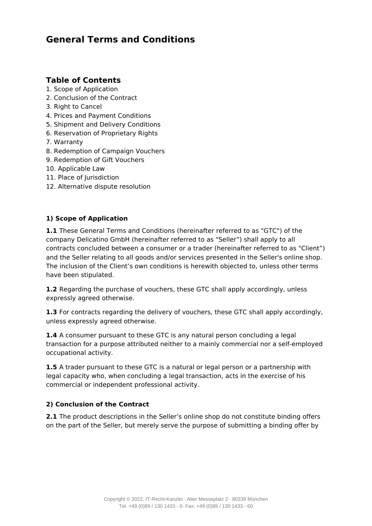# **General Terms and Conditions**

## **Table of Contents**

- 1. Scope of Application
- 2. Conclusion of the Contract
- 3. Right to Cancel
- 4. Prices and Payment Conditions
- 5. Shipment and Delivery Conditions
- 6. Reservation of Proprietary Rights
- 7. Warranty
- 8. Redemption of Campaign Vouchers
- 9. Redemption of Gift Vouchers
- 10. Applicable Law
- 11. Place of Jurisdiction
- 12. Alternative dispute resolution

## **1) Scope of Application**

**1.1** These General Terms and Conditions (hereinafter referred to as "GTC") of the company Delicatino GmbH (hereinafter referred to as "Seller") shall apply to all contracts concluded between a consumer or a trader (hereinafter referred to as "Client") and the Seller relating to all goods and/or services presented in the Seller's online shop. The inclusion of the Client's own conditions is herewith objected to, unless other terms have been stipulated.

**1.2** Regarding the purchase of vouchers, these GTC shall apply accordingly, unless expressly agreed otherwise.

**1.3** For contracts regarding the delivery of vouchers, these GTC shall apply accordingly, unless expressly agreed otherwise.

**1.4** A consumer pursuant to these GTC is any natural person concluding a legal transaction for a purpose attributed neither to a mainly commercial nor a self-employed occupational activity.

**1.5** A trader pursuant to these GTC is a natural or legal person or a partnership with legal capacity who, when concluding a legal transaction, acts in the exercise of his commercial or independent professional activity.

## **2) Conclusion of the Contract**

**2.1** The product descriptions in the Seller's online shop do not constitute binding offers on the part of the Seller, but merely serve the purpose of submitting a binding offer by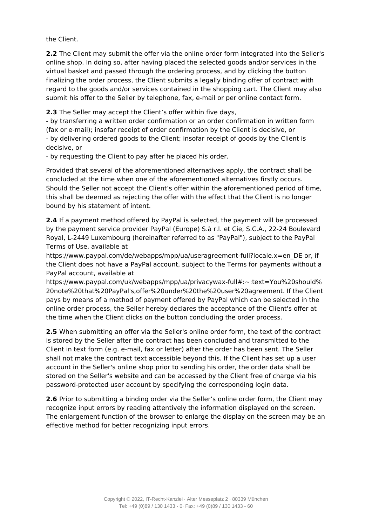the Client.

**2.2** The Client may submit the offer via the online order form integrated into the Seller's online shop. In doing so, after having placed the selected goods and/or services in the virtual basket and passed through the ordering process, and by clicking the button finalizing the order process, the Client submits a legally binding offer of contract with regard to the goods and/or services contained in the shopping cart. The Client may also submit his offer to the Seller by telephone, fax, e-mail or per online contact form.

**2.3** The Seller may accept the Client's offer within five days,

- by transferring a written order confirmation or an order confirmation in written form (fax or e-mail); insofar receipt of order confirmation by the Client is decisive, or - by delivering ordered goods to the Client; insofar receipt of goods by the Client is decisive, or

- by requesting the Client to pay after he placed his order.

Provided that several of the aforementioned alternatives apply, the contract shall be concluded at the time when one of the aforementioned alternatives firstly occurs. Should the Seller not accept the Client's offer within the aforementioned period of time, this shall be deemed as rejecting the offer with the effect that the Client is no longer bound by his statement of intent.

**2.4** If a payment method offered by PayPal is selected, the payment will be processed by the payment service provider PayPal (Europe) S.à r.l. et Cie, S.C.A., 22-24 Boulevard Royal, L-2449 Luxembourg (hereinafter referred to as "PayPal"), subject to the PayPal Terms of Use, available at

https://www.paypal.com/de/webapps/mpp/ua/useragreement-full?locale.x=en\_DE or, if the Client does not have a PayPal account, subject to the Terms for payments without a PayPal account, available at

https://www.paypal.com/uk/webapps/mpp/ua/privacywax-full#:~:text=You%20should% 20note%20that%20PayPal's,offer%20under%20the%20user%20agreement. If the Client pays by means of a method of payment offered by PayPal which can be selected in the online order process, the Seller hereby declares the acceptance of the Client's offer at the time when the Client clicks on the button concluding the order process.

**2.5** When submitting an offer via the Seller's online order form, the text of the contract is stored by the Seller after the contract has been concluded and transmitted to the Client in text form (e.g. e-mail, fax or letter) after the order has been sent. The Seller shall not make the contract text accessible beyond this. If the Client has set up a user account in the Seller's online shop prior to sending his order, the order data shall be stored on the Seller's website and can be accessed by the Client free of charge via his password-protected user account by specifying the corresponding login data.

**2.6** Prior to submitting a binding order via the Seller's online order form, the Client may recognize input errors by reading attentively the information displayed on the screen. The enlargement function of the browser to enlarge the display on the screen may be an effective method for better recognizing input errors.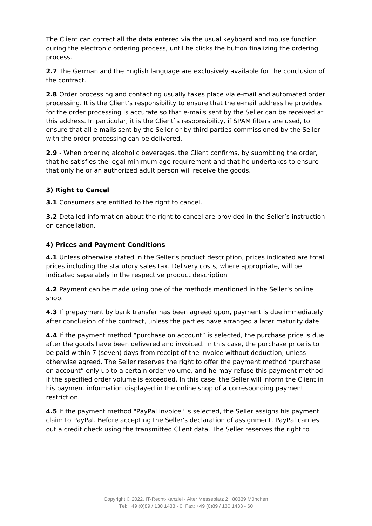The Client can correct all the data entered via the usual keyboard and mouse function during the electronic ordering process, until he clicks the button finalizing the ordering process.

**2.7** The German and the English language are exclusively available for the conclusion of the contract.

**2.8** Order processing and contacting usually takes place via e-mail and automated order processing. It is the Client's responsibility to ensure that the e-mail address he provides for the order processing is accurate so that e-mails sent by the Seller can be received at this address. In particular, it is the Client`s responsibility, if SPAM filters are used, to ensure that all e-mails sent by the Seller or by third parties commissioned by the Seller with the order processing can be delivered.

**2.9** - When ordering alcoholic beverages, the Client confirms, by submitting the order, that he satisfies the legal minimum age requirement and that he undertakes to ensure that only he or an authorized adult person will receive the goods.

#### **3) Right to Cancel**

**3.1** Consumers are entitled to the right to cancel.

**3.2** Detailed information about the right to cancel are provided in the Seller's instruction on cancellation.

#### **4) Prices and Payment Conditions**

**4.1** Unless otherwise stated in the Seller's product description, prices indicated are total prices including the statutory sales tax. Delivery costs, where appropriate, will be indicated separately in the respective product description

**4.2** Payment can be made using one of the methods mentioned in the Seller's online shop.

**4.3** If prepayment by bank transfer has been agreed upon, payment is due immediately after conclusion of the contract, unless the parties have arranged a later maturity date

**4.4** If the payment method "purchase on account" is selected, the purchase price is due after the goods have been delivered and invoiced. In this case, the purchase price is to be paid within 7 (seven) days from receipt of the invoice without deduction, unless otherwise agreed. The Seller reserves the right to offer the payment method "purchase on account" only up to a certain order volume, and he may refuse this payment method if the specified order volume is exceeded. In this case, the Seller will inform the Client in his payment information displayed in the online shop of a corresponding payment restriction.

**4.5** If the payment method "PayPal invoice" is selected, the Seller assigns his payment claim to PayPal. Before accepting the Seller's declaration of assignment, PayPal carries out a credit check using the transmitted Client data. The Seller reserves the right to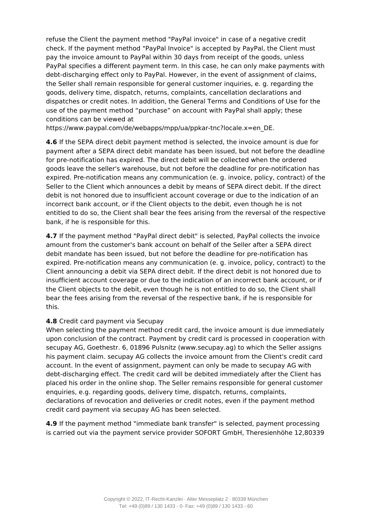refuse the Client the payment method "PayPal invoice" in case of a negative credit check. If the payment method "PayPal Invoice" is accepted by PayPal, the Client must pay the invoice amount to PayPal within 30 days from receipt of the goods, unless PayPal specifies a different payment term. In this case, he can only make payments with debt-discharging effect only to PayPal. However, in the event of assignment of claims, the Seller shall remain responsible for general customer inquiries, e. g. regarding the goods, delivery time, dispatch, returns, complaints, cancellation declarations and dispatches or credit notes. In addition, the General Terms and Conditions of Use for the use of the payment method "purchase" on account with PayPal shall apply; these conditions can be viewed at

https://www.paypal.com/de/webapps/mpp/ua/ppkar-tnc?locale.x=en\_DE.

**4.6** If the SEPA direct debit payment method is selected, the invoice amount is due for payment after a SEPA direct debit mandate has been issued, but not before the deadline for pre-notification has expired. The direct debit will be collected when the ordered goods leave the seller's warehouse, but not before the deadline for pre-notification has expired. Pre-notification means any communication (e. g. invoice, policy, contract) of the Seller to the Client which announces a debit by means of SEPA direct debit. If the direct debit is not honored due to insufficient account coverage or due to the indication of an incorrect bank account, or if the Client objects to the debit, even though he is not entitled to do so, the Client shall bear the fees arising from the reversal of the respective bank, if he is responsible for this.

**4.7** If the payment method "PayPal direct debit" is selected, PayPal collects the invoice amount from the customer's bank account on behalf of the Seller after a SEPA direct debit mandate has been issued, but not before the deadline for pre-notification has expired. Pre-notification means any communication (e. g. invoice, policy, contract) to the Client announcing a debit via SEPA direct debit. If the direct debit is not honored due to insufficient account coverage or due to the indication of an incorrect bank account, or if the Client objects to the debit, even though he is not entitled to do so, the Client shall bear the fees arising from the reversal of the respective bank, if he is responsible for this.

#### **4.8** Credit card payment via Secupay

When selecting the payment method credit card, the invoice amount is due immediately upon conclusion of the contract. Payment by credit card is processed in cooperation with secupay AG, Goethestr. 6, 01896 Pulsnitz (www.secupay.ag) to which the Seller assigns his payment claim. secupay AG collects the invoice amount from the Client's credit card account. In the event of assignment, payment can only be made to secupay AG with debt-discharging effect. The credit card will be debited immediately after the Client has placed his order in the online shop. The Seller remains responsible for general customer enquiries, e.g. regarding goods, delivery time, dispatch, returns, complaints, declarations of revocation and deliveries or credit notes, even if the payment method credit card payment via secupay AG has been selected.

**4.9** If the payment method "immediate bank transfer" is selected, payment processing is carried out via the payment service provider SOFORT GmbH, Theresienhöhe 12,80339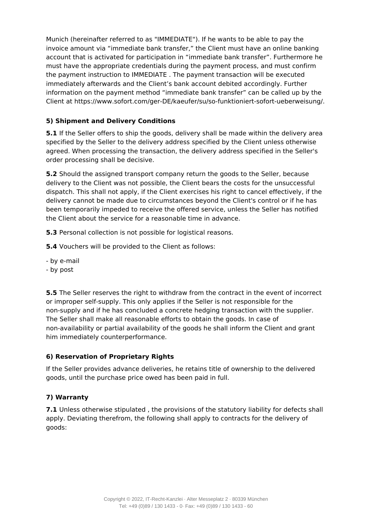Munich (hereinafter referred to as "IMMEDIATE"). If he wants to be able to pay the invoice amount via "immediate bank transfer," the Client must have an online banking account that is activated for participation in "immediate bank transfer". Furthermore he must have the appropriate credentials during the payment process, and must confirm the payment instruction to IMMEDIATE . The payment transaction will be executed immediately afterwards and the Client's bank account debited accordingly. Further information on the payment method "immediate bank transfer" can be called up by the Client at https://www.sofort.com/ger-DE/kaeufer/su/so-funktioniert-sofort-ueberweisung/.

## **5) Shipment and Delivery Conditions**

**5.1** If the Seller offers to ship the goods, delivery shall be made within the delivery area specified by the Seller to the delivery address specified by the Client unless otherwise agreed. When processing the transaction, the delivery address specified in the Seller's order processing shall be decisive.

**5.2** Should the assigned transport company return the goods to the Seller, because delivery to the Client was not possible, the Client bears the costs for the unsuccessful dispatch. This shall not apply, if the Client exercises his right to cancel effectively, if the delivery cannot be made due to circumstances beyond the Client's control or if he has been temporarily impeded to receive the offered service, unless the Seller has notified the Client about the service for a reasonable time in advance.

**5.3** Personal collection is not possible for logistical reasons.

**5.4** Vouchers will be provided to the Client as follows:

- by e-mail
- by post

**5.5** The Seller reserves the right to withdraw from the contract in the event of incorrect or improper self-supply. This only applies if the Seller is not responsible for the non-supply and if he has concluded a concrete hedging transaction with the supplier. The Seller shall make all reasonable efforts to obtain the goods. In case of non-availability or partial availability of the goods he shall inform the Client and grant him immediately counterperformance.

## **6) Reservation of Proprietary Rights**

If the Seller provides advance deliveries, he retains title of ownership to the delivered goods, until the purchase price owed has been paid in full.

## **7) Warranty**

**7.1** Unless otherwise stipulated, the provisions of the statutory liability for defects shall apply. Deviating therefrom, the following shall apply to contracts for the delivery of goods: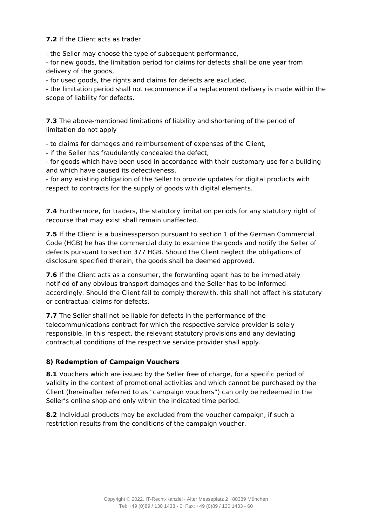#### **7.2** If the Client acts as trader

- the Seller may choose the type of subsequent performance,

- for new goods, the limitation period for claims for defects shall be one year from delivery of the goods,

- for used goods, the rights and claims for defects are excluded,

- the limitation period shall not recommence if a replacement delivery is made within the scope of liability for defects.

**7.3** The above-mentioned limitations of liability and shortening of the period of limitation do not apply

- to claims for damages and reimbursement of expenses of the Client,

- if the Seller has fraudulently concealed the defect,

- for goods which have been used in accordance with their customary use for a building and which have caused its defectiveness,

- for any existing obligation of the Seller to provide updates for digital products with respect to contracts for the supply of goods with digital elements.

**7.4** Furthermore, for traders, the statutory limitation periods for any statutory right of recourse that may exist shall remain unaffected.

**7.5** If the Client is a businessperson pursuant to section 1 of the German Commercial Code (HGB) he has the commercial duty to examine the goods and notify the Seller of defects pursuant to section 377 HGB. Should the Client neglect the obligations of disclosure specified therein, the goods shall be deemed approved.

**7.6** If the Client acts as a consumer, the forwarding agent has to be immediately notified of any obvious transport damages and the Seller has to be informed accordingly. Should the Client fail to comply therewith, this shall not affect his statutory or contractual claims for defects.

**7.7** The Seller shall not be liable for defects in the performance of the telecommunications contract for which the respective service provider is solely responsible. In this respect, the relevant statutory provisions and any deviating contractual conditions of the respective service provider shall apply.

## **8) Redemption of Campaign Vouchers**

**8.1** Vouchers which are issued by the Seller free of charge, for a specific period of validity in the context of promotional activities and which cannot be purchased by the Client (hereinafter referred to as "campaign vouchers") can only be redeemed in the Seller's online shop and only within the indicated time period.

**8.2** Individual products may be excluded from the voucher campaign, if such a restriction results from the conditions of the campaign voucher.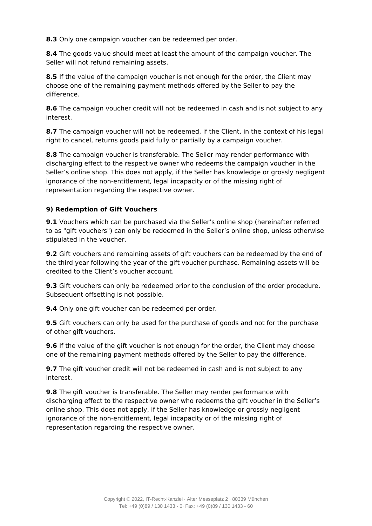**8.3** Only one campaign voucher can be redeemed per order.

**8.4** The goods value should meet at least the amount of the campaign voucher. The Seller will not refund remaining assets.

**8.5** If the value of the campaign voucher is not enough for the order, the Client may choose one of the remaining payment methods offered by the Seller to pay the difference.

**8.6** The campaign voucher credit will not be redeemed in cash and is not subject to any interest.

**8.7** The campaign voucher will not be redeemed, if the Client, in the context of his legal right to cancel, returns goods paid fully or partially by a campaign voucher.

**8.8** The campaign voucher is transferable. The Seller may render performance with discharging effect to the respective owner who redeems the campaign voucher in the Seller's online shop. This does not apply, if the Seller has knowledge or grossly negligent ignorance of the non-entitlement, legal incapacity or of the missing right of representation regarding the respective owner.

#### **9) Redemption of Gift Vouchers**

**9.1** Vouchers which can be purchased via the Seller's online shop (hereinafter referred to as "gift vouchers") can only be redeemed in the Seller's online shop, unless otherwise stipulated in the voucher.

**9.2** Gift vouchers and remaining assets of gift vouchers can be redeemed by the end of the third year following the year of the gift voucher purchase. Remaining assets will be credited to the Client's voucher account.

**9.3** Gift vouchers can only be redeemed prior to the conclusion of the order procedure. Subsequent offsetting is not possible.

**9.4** Only one gift voucher can be redeemed per order.

**9.5** Gift vouchers can only be used for the purchase of goods and not for the purchase of other gift vouchers.

**9.6** If the value of the gift voucher is not enough for the order, the Client may choose one of the remaining payment methods offered by the Seller to pay the difference.

**9.7** The gift voucher credit will not be redeemed in cash and is not subject to any interest.

**9.8** The gift voucher is transferable. The Seller may render performance with discharging effect to the respective owner who redeems the gift voucher in the Seller's online shop. This does not apply, if the Seller has knowledge or grossly negligent ignorance of the non-entitlement, legal incapacity or of the missing right of representation regarding the respective owner.